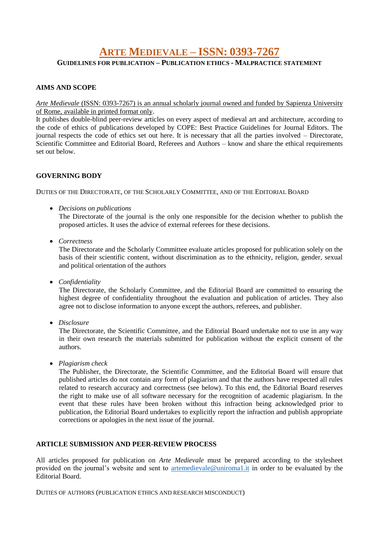# **ARTE MEDIEVALE – ISSN: 0393-7267**

**GUIDELINES FOR PUBLICATION – PUBLICATION ETHICS - MALPRACTICE STATEMENT**

## **AIMS AND SCOPE**

*Arte Medievale* (ISSN: 0393-7267) is an annual scholarly journal owned and funded by Sapienza University of Rome, available in printed format only.

It publishes double-blind peer-review articles on every aspect of medieval art and architecture, according to the code of ethics of publications developed by COPE: Best Practice Guidelines for Journal Editors. The journal respects the code of ethics set out here. It is necessary that all the parties involved – Directorate, Scientific Committee and Editorial Board, Referees and Authors – know and share the ethical requirements set out below.

#### **GOVERNING BODY**

DUTIES OF THE DIRECTORATE, OF THE SCHOLARLY COMMITTEE, AND OF THE EDITORIAL BOARD

*Decisions on publications*

The Directorate of the journal is the only one responsible for the decision whether to publish the proposed articles. It uses the advice of external referees for these decisions.

*Correctness*

The Directorate and the Scholarly Committee evaluate articles proposed for publication solely on the basis of their scientific content, without discrimination as to the ethnicity, religion, gender, sexual and political orientation of the authors

*Confidentiality*

The Directorate, the Scholarly Committee, and the Editorial Board are committed to ensuring the highest degree of confidentiality throughout the evaluation and publication of articles. They also agree not to disclose information to anyone except the authors, referees, and publisher.

*Disclosure*

The Directorate, the Scientific Committee, and the Editorial Board undertake not to use in any way in their own research the materials submitted for publication without the explicit consent of the authors.

*Plagiarism check*

The Publisher, the Directorate, the Scientific Committee, and the Editorial Board will ensure that published articles do not contain any form of plagiarism and that the authors have respected all rules related to research accuracy and correctness (see below). To this end, the Editorial Board reserves the right to make use of all software necessary for the recognition of academic plagiarism. In the event that these rules have been broken without this infraction being acknowledged prior to publication, the Editorial Board undertakes to explicitly report the infraction and publish appropriate corrections or apologies in the next issue of the journal.

### **ARTICLE SUBMISSION AND PEER-REVIEW PROCESS**

All articles proposed for publication on *Arte Medievale* must be prepared according to the stylesheet provided on the journal's website and sent to [artemedievale@uniroma1.it](mailto:artemedievale@uniroma1.it) in order to be evaluated by the Editorial Board.

DUTIES OF AUTHORS (PUBLICATION ETHICS AND RESEARCH MISCONDUCT)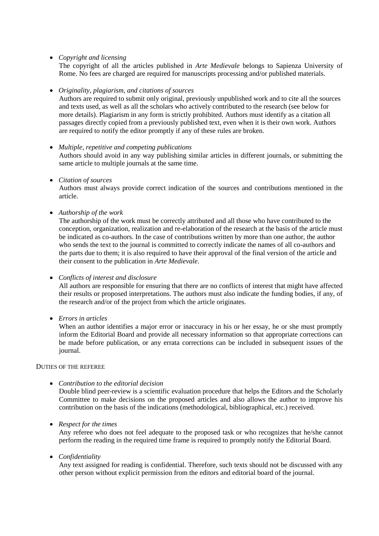*Copyright and licensing*

The copyright of all the articles published in *Arte Medievale* belongs to Sapienza University of Rome. No fees are charged are required for manuscripts processing and/or published materials.

*Originality, plagiarism, and citations of sources*

Authors are required to submit only original, previously unpublished work and to cite all the sources and texts used, as well as all the scholars who actively contributed to the research (see below for more details). Plagiarism in any form is strictly prohibited. Authors must identify as a citation all passages directly copied from a previously published text, even when it is their own work. Authors are required to notify the editor promptly if any of these rules are broken.

- *Multiple, repetitive and competing publications* Authors should avoid in any way publishing similar articles in different journals, or submitting the same article to multiple journals at the same time.
- *Citation of sources*

Authors must always provide correct indication of the sources and contributions mentioned in the article.

*Authorship of the work*

The authorship of the work must be correctly attributed and all those who have contributed to the conception, organization, realization and re-elaboration of the research at the basis of the article must be indicated as co-authors. In the case of contributions written by more than one author, the author who sends the text to the journal is committed to correctly indicate the names of all co-authors and the parts due to them; it is also required to have their approval of the final version of the article and their consent to the publication in *Arte Medievale*.

*Conflicts of interest and disclosure*

All authors are responsible for ensuring that there are no conflicts of interest that might have affected their results or proposed interpretations. The authors must also indicate the funding bodies, if any, of the research and/or of the project from which the article originates.

*Errors in articles*

When an author identifies a major error or inaccuracy in his or her essay, he or she must promptly inform the Editorial Board and provide all necessary information so that appropriate corrections can be made before publication, or any errata corrections can be included in subsequent issues of the journal.

DUTIES OF THE REFEREE

*Contribution to the editorial decision*

Double blind peer-review is a scientific evaluation procedure that helps the Editors and the Scholarly Committee to make decisions on the proposed articles and also allows the author to improve his contribution on the basis of the indications (methodological, bibliographical, etc.) received.

*Respect for the times*

Any referee who does not feel adequate to the proposed task or who recognizes that he/she cannot perform the reading in the required time frame is required to promptly notify the Editorial Board.

*Confidentiality*

Any text assigned for reading is confidential. Therefore, such texts should not be discussed with any other person without explicit permission from the editors and editorial board of the journal.